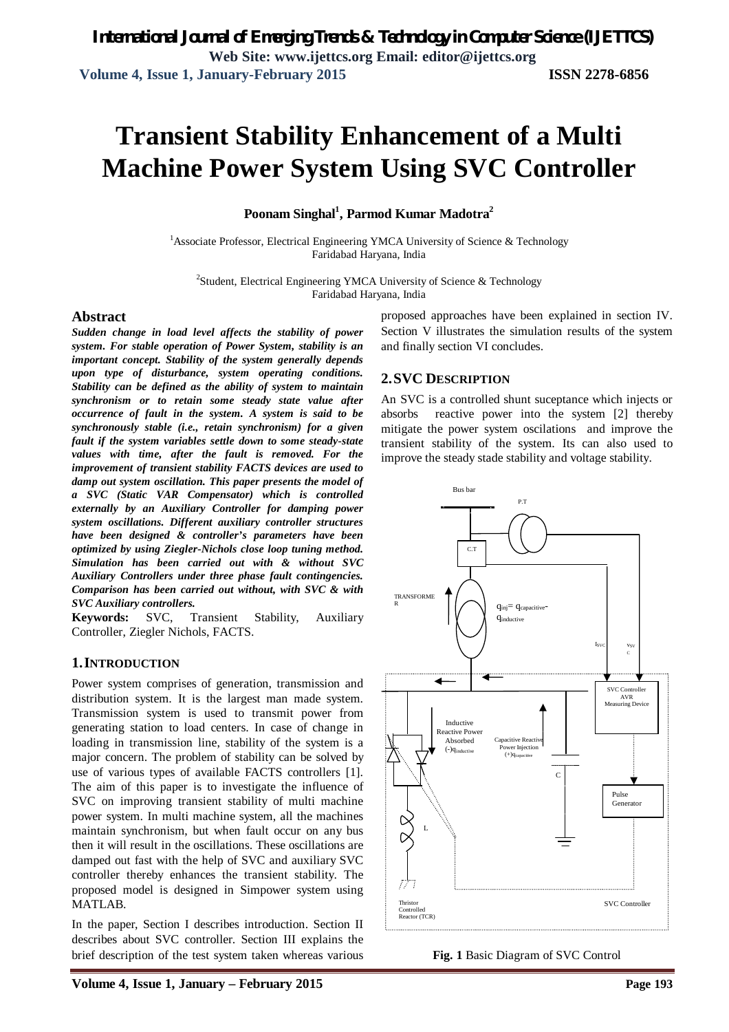# **Transient Stability Enhancement of a Multi Machine Power System Using SVC Controller**

**Poonam Singhal<sup>1</sup> , Parmod Kumar Madotra<sup>2</sup>**

<sup>1</sup>Associate Professor, Electrical Engineering YMCA University of Science & Technology Faridabad Haryana, India

<sup>2</sup>Student, Electrical Engineering YMCA University of Science & Technology Faridabad Haryana, India

#### **Abstract**

*Sudden change in load level affects the stability of power system. For stable operation of Power System, stability is an important concept. Stability of the system generally depends upon type of disturbance, system operating conditions. Stability can be defined as the ability of system to maintain synchronism or to retain some steady state value after occurrence of fault in the system. A system is said to be synchronously stable (i.e., retain synchronism) for a given fault if the system variables settle down to some steady-state values with time, after the fault is removed. For the improvement of transient stability FACTS devices are used to damp out system oscillation. This paper presents the model of a SVC (Static VAR Compensator) which is controlled externally by an Auxiliary Controller for damping power system oscillations. Different auxiliary controller structures have been designed & controller's parameters have been optimized by using Ziegler-Nichols close loop tuning method. Simulation has been carried out with & without SVC Auxiliary Controllers under three phase fault contingencies. Comparison has been carried out without, with SVC & with SVC Auxiliary controllers.*

**Keywords:** SVC, Transient Stability, Auxiliary Controller, Ziegler Nichols, FACTS.

#### **1.INTRODUCTION**

Power system comprises of generation, transmission and distribution system. It is the largest man made system. Transmission system is used to transmit power from generating station to load centers. In case of change in loading in transmission line, stability of the system is a major concern. The problem of stability can be solved by use of various types of available FACTS controllers [1]. The aim of this paper is to investigate the influence of SVC on improving transient stability of multi machine power system. In multi machine system, all the machines maintain synchronism, but when fault occur on any bus then it will result in the oscillations. These oscillations are damped out fast with the help of SVC and auxiliary SVC controller thereby enhances the transient stability. The proposed model is designed in Simpower system using MATLAB.

In the paper, Section I describes introduction. Section II describes about SVC controller. Section III explains the brief description of the test system taken whereas various proposed approaches have been explained in section IV. Section V illustrates the simulation results of the system and finally section VI concludes.

### **2.SVC DESCRIPTION**

An SVC is a controlled shunt suceptance which injects or absorbs reactive power into the system [2] thereby mitigate the power system oscilations and improve the transient stability of the system. Its can also used to improve the steady stade stability and voltage stability.



**Fig. 1** Basic Diagram of SVC Control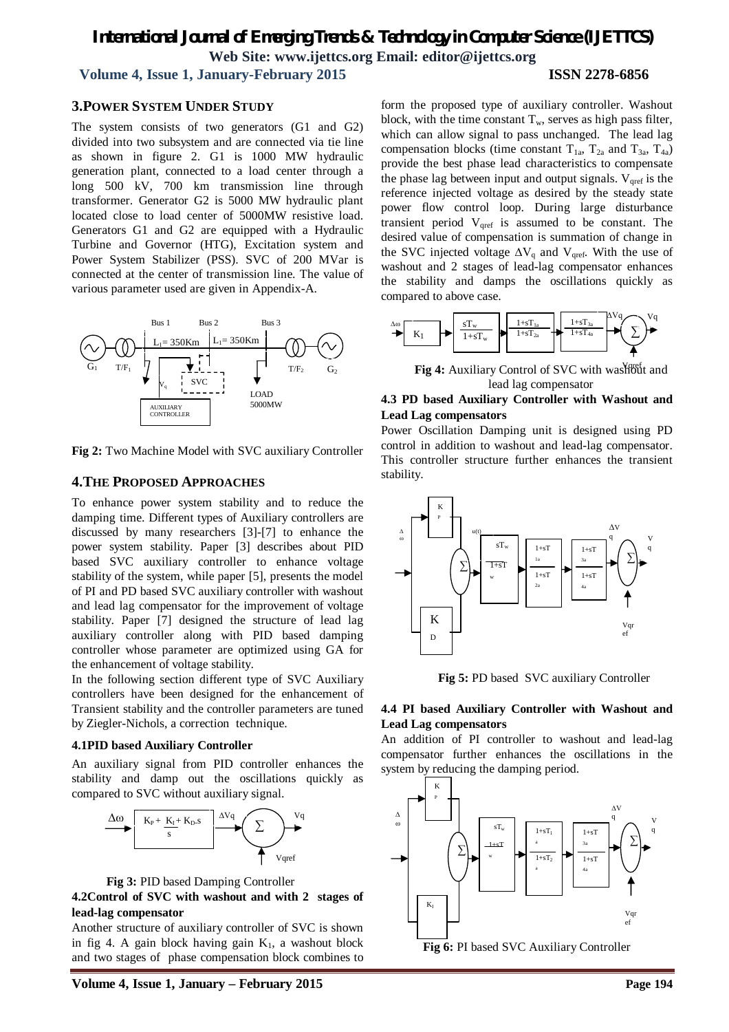# *International Journal of Emerging Trends & Technology in Computer Science (IJETTCS)* **Web Site: www.ijettcs.org Email: editor@ijettcs.org**

#### **Volume 4, Issue 1, January-February 2015 ISSN 2278-6856**

#### **3.POWER SYSTEM UNDER STUDY**

The system consists of two generators (G1 and G2) divided into two subsystem and are connected via tie line as shown in figure 2. G1 is 1000 MW hydraulic generation plant, connected to a load center through a long 500 kV, 700 km transmission line through transformer. Generator G2 is 5000 MW hydraulic plant located close to load center of 5000MW resistive load. Generators G1 and G2 are equipped with a Hydraulic Turbine and Governor (HTG), Excitation system and Power System Stabilizer (PSS). SVC of 200 MVar is connected at the center of transmission line. The value of various parameter used are given in Appendix-A.



**Fig 2:** Two Machine Model with SVC auxiliary Controller

#### **4.THE PROPOSED APPROACHES**

To enhance power system stability and to reduce the damping time. Different types of Auxiliary controllers are discussed by many researchers [3]-[7] to enhance the power system stability. Paper [3] describes about PID based SVC auxiliary controller to enhance voltage stability of the system, while paper [5], presents the model of PI and PD based SVC auxiliary controller with washout and lead lag compensator for the improvement of voltage stability. Paper [7] designed the structure of lead lag auxiliary controller along with PID based damping controller whose parameter are optimized using GA for the enhancement of voltage stability.

In the following section different type of SVC Auxiliary controllers have been designed for the enhancement of Transient stability and the controller parameters are tuned by Ziegler-Nichols, a correction technique.

#### **4.1PID based Auxiliary Controller**

An auxiliary signal from PID controller enhances the stability and damp out the oscillations quickly as compared to SVC without auxiliary signal.





#### **4.2Control of SVC with washout and with 2 stages of lead-lag compensator**

Another structure of auxiliary controller of SVC is shown in fig 4. A gain block having gain  $K_1$ , a washout block and two stages of phase compensation block combines to form the proposed type of auxiliary controller. Washout block, with the time constant  $T_w$ , serves as high pass filter, which can allow signal to pass unchanged. The lead lag compensation blocks (time constant  $T_{1a}$ ,  $T_{2a}$  and  $T_{3a}$ ,  $T_{4a}$ ) provide the best phase lead characteristics to compensate the phase lag between input and output signals.  $V_{\text{pref}}$  is the reference injected voltage as desired by the steady state power flow control loop. During large disturbance transient period  $V<sub>qref</sub>$  is assumed to be constant. The desired value of compensation is summation of change in the SVC injected voltage  $\Delta V_q$  and V<sub>qref</sub>. With the use of washout and 2 stages of lead-lag compensator enhances the stability and damps the oscillations quickly as compared to above case.



Fig 4: Auxiliary Control of SVC with washout and lead lag compensator

#### **4.3 PD based Auxiliary Controller with Washout and Lead Lag compensators**

Power Oscillation Damping unit is designed using PD control in addition to washout and lead-lag compensator. This controller structure further enhances the transient stability.



**Fig 5:** PD based SVC auxiliary Controller

#### **4.4 PI based Auxiliary Controller with Washout and Lead Lag compensators**

An addition of PI controller to washout and lead-lag compensator further enhances the oscillations in the system by reducing the damping period.

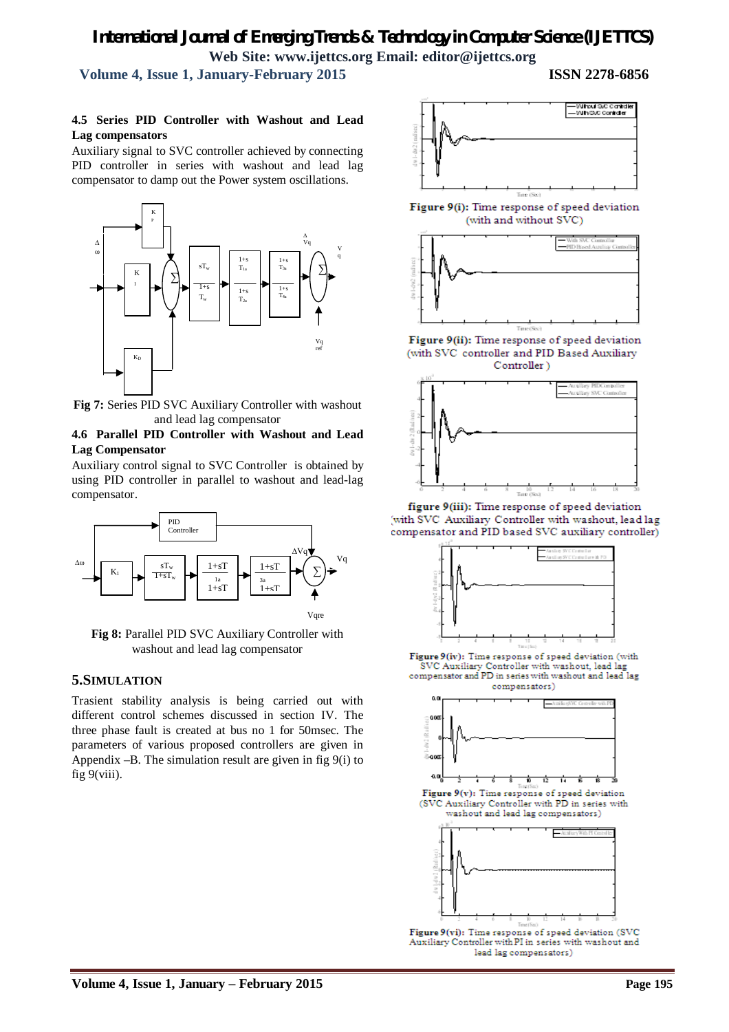# *International Journal of Emerging Trends & Technology in Computer Science (IJETTCS)* **Web Site: www.ijettcs.org Email: editor@ijettcs.org**

 **Volume 4, Issue 1, January-February 2015 ISSN 2278-6856**

#### **4.5 Series PID Controller with Washout and Lead Lag compensators**

Auxiliary signal to SVC controller achieved by connecting PID controller in series with washout and lead lag compensator to damp out the Power system oscillations.



**Fig 7:** Series PID SVC Auxiliary Controller with washout and lead lag compensator

#### **4.6 Parallel PID Controller with Washout and Lead Lag Compensator**

Auxiliary control signal to SVC Controller is obtained by using PID controller in parallel to washout and lead-lag compensator.



Fig 8: Parallel PID SVC Auxiliary Controller with washout and lead lag compensator

#### **5.SIMULATION**

Trasient stability analysis is being carried out with different control schemes discussed in section IV. The three phase fault is created at bus no 1 for 50msec. The parameters of various proposed controllers are given in Appendix –B. The simulation result are given in fig 9(i) to fig 9(viii).



Figure 9(i): Time response of speed deviation (with and without SVC)



Figure 9(ii): Time response of speed deviation (with SVC controller and PID Based Auxiliary Controller)



figure 9(iii): Time response of speed deviation with SVC Auxiliary Controller with washout, lead lag compensator and PID based SVC auxiliary controller)



Figure 9(iv): Time response of speed deviation (with SVC Auxiliary Controller with washout, lead lag compensator and PD in series with washout and lead lag compensators)



Auxiliary Controller with PI in series with washout and lead lag compensators)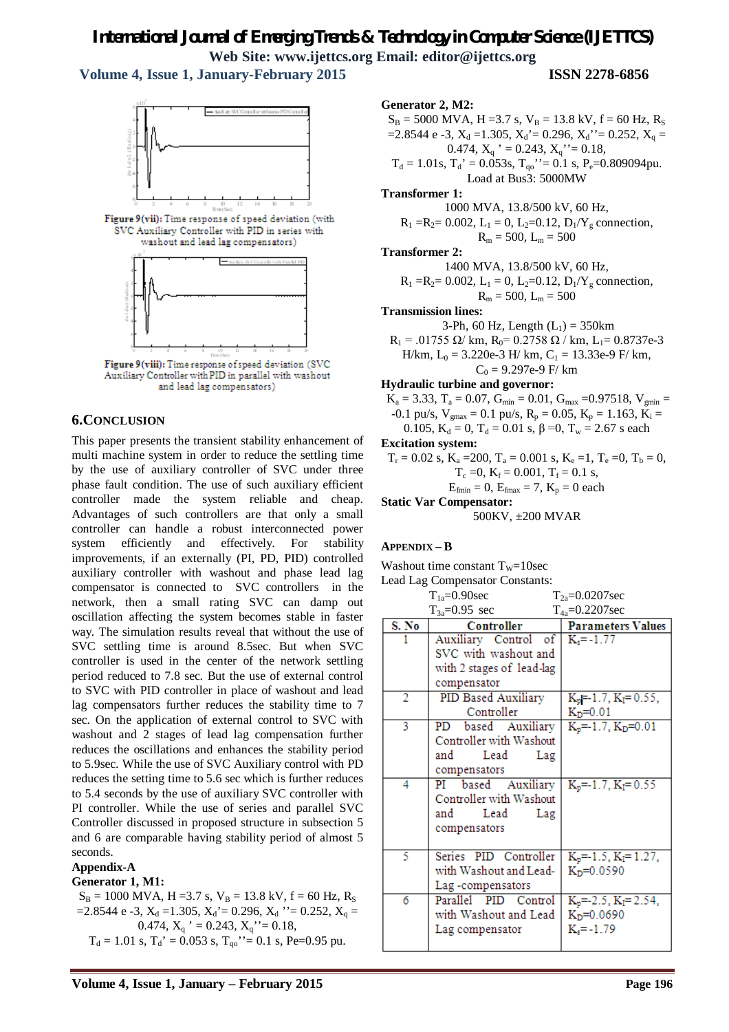# *International Journal of Emerging Trends & Technology in Computer Science (IJETTCS)* **Web Site: www.ijettcs.org Email: editor@ijettcs.org**

 **Volume 4, Issue 1, January-February 2015 ISSN 2278-6856**



Figure 9(vii): Time response of speed deviation (with SVC Auxiliary Controller with PID in series with washout and lead lag compensators)



Auxiliary Controller with PID in parallel with washout and lead lag compensators)

#### **6.CONCLUSION**

This paper presents the transient stability enhancement of multi machine system in order to reduce the settling time by the use of auxiliary controller of SVC under three phase fault condition. The use of such auxiliary efficient controller made the system reliable and cheap. Advantages of such controllers are that only a small controller can handle a robust interconnected power system efficiently and effectively. For stability improvements, if an externally (PI, PD, PID) controlled auxiliary controller with washout and phase lead lag compensator is connected to SVC controllers in the network, then a small rating SVC can damp out oscillation affecting the system becomes stable in faster way. The simulation results reveal that without the use of SVC settling time is around 8.5sec. But when SVC controller is used in the center of the network settling period reduced to 7.8 sec. But the use of external control to SVC with PID controller in place of washout and lead lag compensators further reduces the stability time to 7 sec. On the application of external control to SVC with washout and 2 stages of lead lag compensation further reduces the oscillations and enhances the stability period to 5.9sec. While the use of SVC Auxiliary control with PD reduces the setting time to 5.6 sec which is further reduces to 5.4 seconds by the use of auxiliary SVC controller with PI controller. While the use of series and parallel SVC Controller discussed in proposed structure in subsection 5 and 6 are comparable having stability period of almost 5 seconds.

#### **Appendix-A**

#### **Generator 1, M1:**

 $S_B = 1000$  MVA, H = 3.7 s, V<sub>B</sub> = 13.8 kV, f = 60 Hz, R<sub>S</sub>  $=$ 2.8544 e -3,  $X_d = 1.305$ ,  $X_d = 0.296$ ,  $X_d$   $\cdot$  = 0.252,  $X_q =$ 0.474,  $X_q$  ' = 0.243,  $X_q$  ' = 0.18,  $T<sub>d</sub> = 1.01$  s,  $T<sub>d</sub>' = 0.053$  s,  $T<sub>q0</sub>'' = 0.1$  s, Pe=0.95 pu.

**Generator 2, M2:**

 $S_B = 5000$  MVA, H = 3.7 s, V<sub>B</sub> = 13.8 kV, f = 60 Hz, R<sub>S</sub>  $=$ 2.8544 e -3,  $X_d = 1.305$ ,  $X_d' = 0.296$ ,  $X_d' = 0.252$ ,  $X_q =$ 0.474,  $X_q$  ' = 0.243,  $X_q$  ' = 0.18,  $T_d = 1.01$ s,  $T_d' = 0.053$ s,  $T_{qo}$ ''= 0.1 s, P<sub>e</sub>=0.809094pu. Load at Bus3: 5000MW **Transformer 1:** 

1000 MVA, 13.8/500 kV, 60 Hz,  $R_1 = R_2 = 0.002$ ,  $L_1 = 0$ ,  $L_2 = 0.12$ ,  $D_1/Y_g$  connection,

$$
\mathrm{R}_\mathrm{m} = 500,\, \mathrm{L}_\mathrm{m} = 500
$$

**Transformer 2:** 

1400 MVA, 13.8/500 kV, 60 Hz,  $R_1 = R_2 = 0.002$ ,  $L_1 = 0$ ,  $L_2 = 0.12$ ,  $D_1/Y_g$  connection,

 $R_m = 500, L_m = 500$ 

**Transmission lines:**

3-Ph, 60 Hz, Length  $(L_1) = 350$ km  $R_1$  = .01755 Ω/ km,  $R_0$  = 0.2758 Ω / km, L<sub>1</sub> = 0.8737e-3 H/km,  $L_0 = 3.220e-3$  H/km,  $C_1 = 13.33e-9$  F/km,  $C_0 = 9.297e-9$  F/ km

#### **Hydraulic turbine and governor:**

$$
K_a = 3.33, T_a = 0.07, G_{min} = 0.01, G_{max} = 0.97518, V_{gmin} = -0.1 \text{ pu/s}, V_{gmax} = 0.1 \text{ pu/s}, R_p = 0.05, K_p = 1.163, K_i = 0.105, K_d = 0, T_d = 0.01 \text{ s}, \beta = 0, T_w = 2.67 \text{ s each}
$$
  
**Excitation system:**  

$$
T_r = 0.02 \text{ s}, K_a = 200, T_a = 0.001 \text{ s}, K_e = 1, T_e = 0, T_b = 0, T_c = 0, K_f = 0.001, T_f = 0.1 \text{ s}, E_{fmin} = 0, E_{fmax} = 7, K_p = 0 \text{ each}
$$

**Static Var Compensator:** 

500KV, ±200 MVAR

#### **APPENDIX – B**

Washout time constant  $T_w=10$ sec

Lead Lag Compensator Constants:

|                     | $T_{1a} = 0.90$ sec                | $T_{2a} = 0.0207$ sec        |
|---------------------|------------------------------------|------------------------------|
| $T_{3a} = 0.95$ sec |                                    | $T_{4a} = 0.2207$ sec        |
| S. No               | Controller                         | <b>Parameters Values</b>     |
|                     | Auxiliary Control of $K_s = -1.77$ |                              |
|                     | SVC with washout and               |                              |
|                     | with 2 stages of lead-lag          |                              |
|                     | compensator                        |                              |
| 2                   | PID Based Auxiliary                | $K_p = 1.7, K_l = 0.55,$     |
|                     | Controller                         | $K_D = 0.01$                 |
| 3                   | PD based Auxiliary                 | $K_p = 1.7$ , $K_p = 0.01$   |
|                     | Controller with Washout            |                              |
|                     | Lead<br>and<br>Lag                 |                              |
|                     | compensators                       |                              |
| 4                   | PI<br>based Auxiliary              | $K_p = 1.7$ , $K_l = 0.55$   |
|                     | Controller with Washout            |                              |
|                     | Lead<br>and<br>Lag                 |                              |
|                     | compensators                       |                              |
|                     |                                    |                              |
| 5                   | Series PID Controller              | $K_p = 1.5$ , $K_l = 1.27$ , |
|                     | with Washout and Lead-             | $K_D = 0.0590$               |
|                     | Lag-compensators                   |                              |
| 6                   | Parallel PID Control               | $K_p = 2.5$ , $K_l = 2.54$ , |
|                     | with Washout and Lead              | $K_D = 0.0690$               |
|                     | Lag compensator                    | $K_s = -1.79$                |
|                     |                                    |                              |